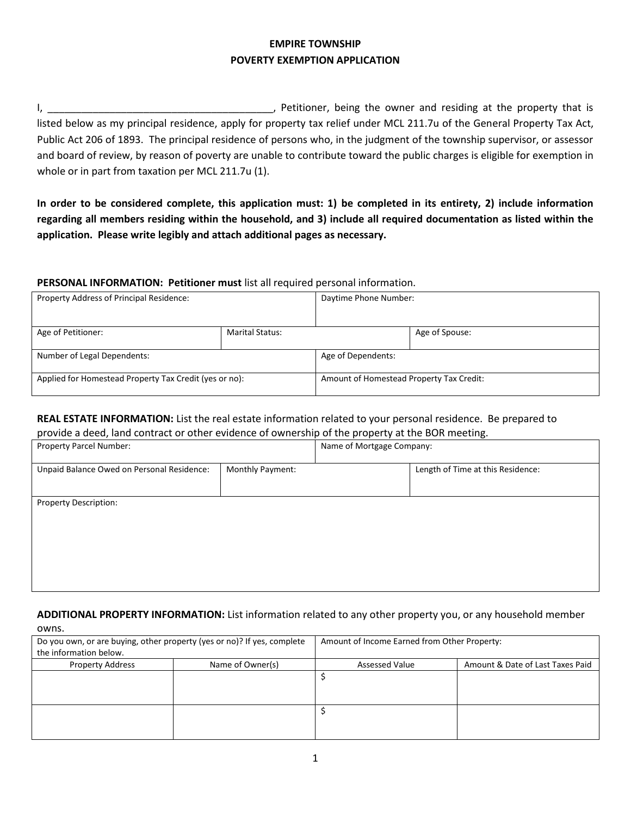## **EMPIRE TOWNSHIP POVERTY EXEMPTION APPLICATION**

I, \_\_\_\_\_\_\_\_\_\_\_\_\_\_\_\_\_\_\_\_\_\_\_\_\_\_\_\_\_\_\_\_\_\_\_\_\_\_\_\_, Petitioner, being the owner and residing at the property that is listed below as my principal residence, apply for property tax relief under MCL 211.7u of the General Property Tax Act, Public Act 206 of 1893. The principal residence of persons who, in the judgment of the township supervisor, or assessor and board of review, by reason of poverty are unable to contribute toward the public charges is eligible for exemption in whole or in part from taxation per MCL 211.7u (1).

**In order to be considered complete, this application must: 1) be completed in its entirety, 2) include information regarding all members residing within the household, and 3) include all required documentation as listed within the application. Please write legibly and attach additional pages as necessary.**

## **PERSONAL INFORMATION: Petitioner must** list all required personal information.

| Property Address of Principal Residence:               |                        | Daytime Phone Number:                    |                |
|--------------------------------------------------------|------------------------|------------------------------------------|----------------|
| Age of Petitioner:                                     | <b>Marital Status:</b> |                                          | Age of Spouse: |
| Number of Legal Dependents:                            |                        | Age of Dependents:                       |                |
| Applied for Homestead Property Tax Credit (yes or no): |                        | Amount of Homestead Property Tax Credit: |                |

## **REAL ESTATE INFORMATION:** List the real estate information related to your personal residence. Be prepared to provide a deed, land contract or other evidence of ownership of the property at the BOR meeting.

|                                            |                  |                           | ັ                                 |
|--------------------------------------------|------------------|---------------------------|-----------------------------------|
| Property Parcel Number:                    |                  | Name of Mortgage Company: |                                   |
| Unpaid Balance Owed on Personal Residence: | Monthly Payment: |                           | Length of Time at this Residence: |
| Property Description:                      |                  |                           |                                   |

#### **ADDITIONAL PROPERTY INFORMATION:** List information related to any other property you, or any household member owns.

| Do you own, or are buying, other property (yes or no)? If yes, complete |                  | Amount of Income Earned from Other Property: |                                  |
|-------------------------------------------------------------------------|------------------|----------------------------------------------|----------------------------------|
| the information below.                                                  |                  |                                              |                                  |
| <b>Property Address</b>                                                 | Name of Owner(s) | <b>Assessed Value</b>                        | Amount & Date of Last Taxes Paid |
|                                                                         |                  |                                              |                                  |
|                                                                         |                  |                                              |                                  |
|                                                                         |                  |                                              |                                  |
|                                                                         |                  |                                              |                                  |
|                                                                         |                  |                                              |                                  |
|                                                                         |                  |                                              |                                  |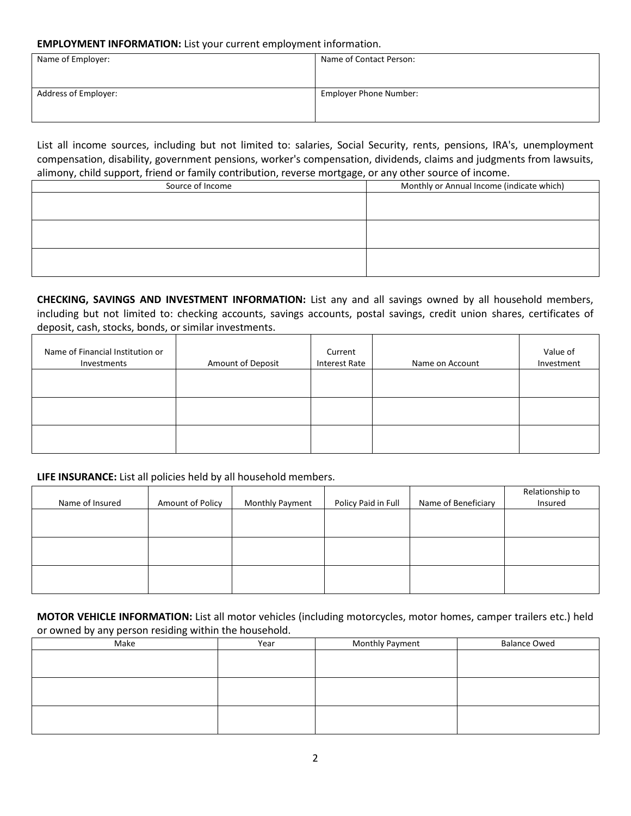#### **EMPLOYMENT INFORMATION:** List your current employment information.

| Name of Employer:    | Name of Contact Person:       |
|----------------------|-------------------------------|
| Address of Employer: | <b>Employer Phone Number:</b> |

List all income sources, including but not limited to: salaries, Social Security, rents, pensions, IRA's, unemployment compensation, disability, government pensions, worker's compensation, dividends, claims and judgments from lawsuits, alimony, child support, friend or family contribution, reverse mortgage, or any other source of income.

| . .<br>.<br>Source of Income | Monthly or Annual Income (indicate which) |
|------------------------------|-------------------------------------------|
|                              |                                           |
|                              |                                           |
|                              |                                           |
|                              |                                           |
|                              |                                           |
|                              |                                           |
|                              |                                           |
|                              |                                           |

**CHECKING, SAVINGS AND INVESTMENT INFORMATION:** List any and all savings owned by all household members, including but not limited to: checking accounts, savings accounts, postal savings, credit union shares, certificates of deposit, cash, stocks, bonds, or similar investments.

| Name of Financial Institution or<br>Investments | Amount of Deposit | Current<br><b>Interest Rate</b> | Name on Account | Value of<br>Investment |
|-------------------------------------------------|-------------------|---------------------------------|-----------------|------------------------|
|                                                 |                   |                                 |                 |                        |
|                                                 |                   |                                 |                 |                        |
|                                                 |                   |                                 |                 |                        |

## **LIFE INSURANCE:** List all policies held by all household members.

| Name of Insured | Amount of Policy | <b>Monthly Payment</b> | Policy Paid in Full | Name of Beneficiary | Relationship to<br>Insured |
|-----------------|------------------|------------------------|---------------------|---------------------|----------------------------|
|                 |                  |                        |                     |                     |                            |
|                 |                  |                        |                     |                     |                            |
|                 |                  |                        |                     |                     |                            |

**MOTOR VEHICLE INFORMATION:** List all motor vehicles (including motorcycles, motor homes, camper trailers etc.) held or owned by any person residing within the household.

| Make | Year | <b>Monthly Payment</b> | <b>Balance Owed</b> |
|------|------|------------------------|---------------------|
|      |      |                        |                     |
|      |      |                        |                     |
|      |      |                        |                     |
|      |      |                        |                     |
|      |      |                        |                     |
|      |      |                        |                     |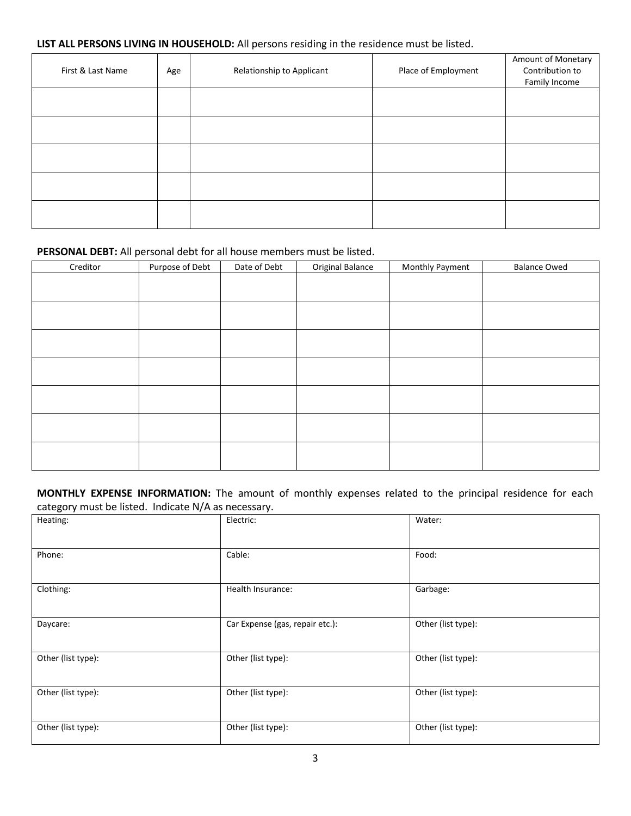# **LIST ALL PERSONS LIVING IN HOUSEHOLD:** All persons residing in the residence must be listed.

| First & Last Name | Age | Relationship to Applicant | Place of Employment | Amount of Monetary<br>Contribution to<br>Family Income |
|-------------------|-----|---------------------------|---------------------|--------------------------------------------------------|
|                   |     |                           |                     |                                                        |
|                   |     |                           |                     |                                                        |
|                   |     |                           |                     |                                                        |
|                   |     |                           |                     |                                                        |
|                   |     |                           |                     |                                                        |

# **PERSONAL DEBT:** All personal debt for all house members must be listed.

| Creditor | Purpose of Debt | Date of Debt | Original Balance | Monthly Payment | <b>Balance Owed</b> |
|----------|-----------------|--------------|------------------|-----------------|---------------------|
|          |                 |              |                  |                 |                     |
|          |                 |              |                  |                 |                     |
|          |                 |              |                  |                 |                     |
|          |                 |              |                  |                 |                     |
|          |                 |              |                  |                 |                     |
|          |                 |              |                  |                 |                     |
|          |                 |              |                  |                 |                     |
|          |                 |              |                  |                 |                     |
|          |                 |              |                  |                 |                     |
|          |                 |              |                  |                 |                     |
|          |                 |              |                  |                 |                     |
|          |                 |              |                  |                 |                     |
|          |                 |              |                  |                 |                     |
|          |                 |              |                  |                 |                     |

**MONTHLY EXPENSE INFORMATION:** The amount of monthly expenses related to the principal residence for each category must be listed. Indicate N/A as necessary.

| Heating:           | Electric:                       | Water:             |  |
|--------------------|---------------------------------|--------------------|--|
| Phone:             | Cable:                          | Food:              |  |
| Clothing:          | Health Insurance:               | Garbage:           |  |
| Daycare:           | Car Expense (gas, repair etc.): | Other (list type): |  |
| Other (list type): | Other (list type):              | Other (list type): |  |
| Other (list type): | Other (list type):              | Other (list type): |  |
| Other (list type): | Other (list type):              | Other (list type): |  |